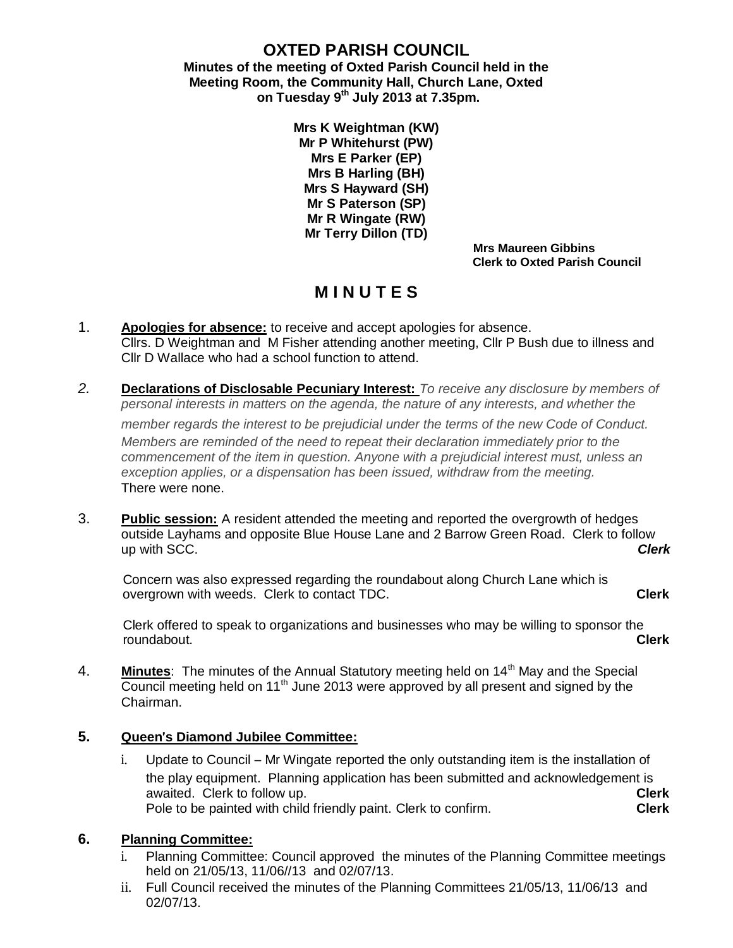# **OXTED PARISH COUNCIL**

**Minutes of the meeting of Oxted Parish Council held in the Meeting Room, the Community Hall, Church Lane, Oxted on Tuesday 9th July 2013 at 7.35pm.**

> **Mrs K Weightman (KW) Mr P Whitehurst (PW) Mrs E Parker (EP) Mrs B Harling (BH) Mrs S Hayward (SH) Mr S Paterson (SP) Mr R Wingate (RW) Mr Terry Dillon (TD)**

 **Mrs Maureen Gibbins Clerk to Oxted Parish Council**

# **M I N U T E S**

- 1. **Apologies for absence:** to receive and accept apologies for absence. Cllrs. D Weightman and M Fisher attending another meeting, Cllr P Bush due to illness and Cllr D Wallace who had a school function to attend.
- *2.* **Declarations of Disclosable Pecuniary Interest:** *To receive any disclosure by members of personal interests in matters on the agenda, the nature of any interests, and whether the member regards the interest to be prejudicial under the terms of the new Code of Conduct.*

*Members are reminded of the need to repeat their declaration immediately prior to the commencement of the item in question. Anyone with a prejudicial interest must, unless an exception applies, or a dispensation has been issued, withdraw from the meeting.* There were none.

3. **Public session:** A resident attended the meeting and reported the overgrowth of hedges outside Layhams and opposite Blue House Lane and 2 Barrow Green Road. Clerk to follow up with SCC. *Clerk* 

 Concern was also expressed regarding the roundabout along Church Lane which is overgrown with weeds. Clerk to contact TDC. **Clerk**

 Clerk offered to speak to organizations and businesses who may be willing to sponsor the roundabout. **Clerk**

4. **Minutes**: The minutes of the Annual Statutory meeting held on 14<sup>th</sup> May and the Special Council meeting held on 11<sup>th</sup> June 2013 were approved by all present and signed by the Chairman.

## **5. Queen**'**s Diamond Jubilee Committee:**

i. Update to Council – Mr Wingate reported the only outstanding item is the installation of the play equipment. Planning application has been submitted and acknowledgement is awaited. Clerk to follow up. **Clerk** Pole to be painted with child friendly paint. Clerk to confirm. **Clerk**

# **6. Planning Committee:**

- Planning Committee: Council approved the minutes of the Planning Committee meetings held on 21/05/13, 11/06//13 and 02/07/13.
- ii. Full Council received the minutes of the Planning Committees 21/05/13, 11/06/13 and 02/07/13.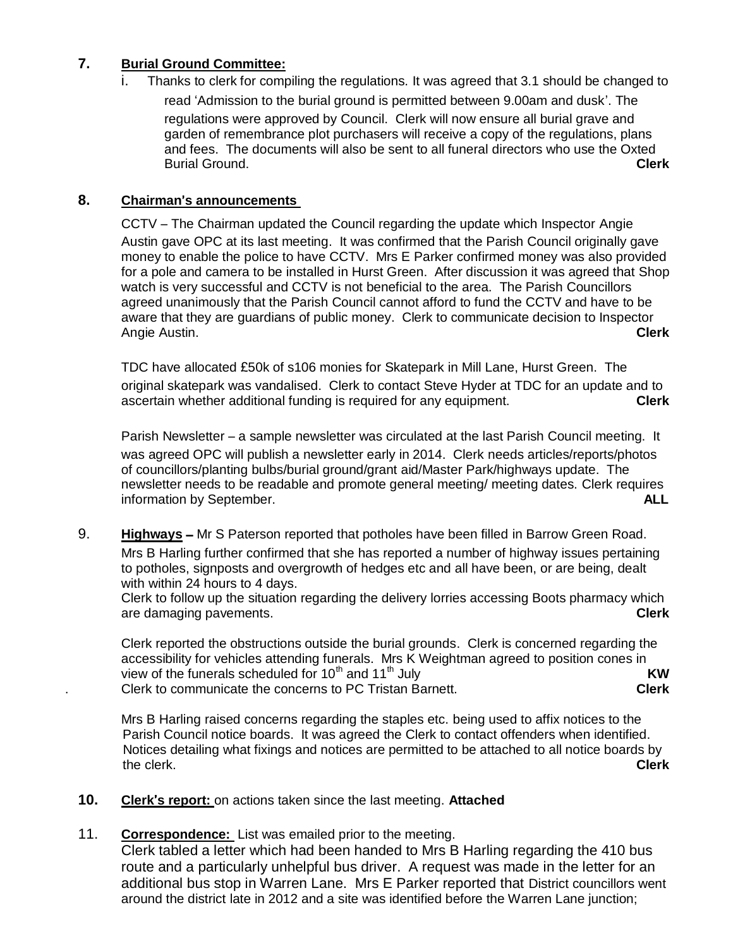## **7. Burial Ground Committee:**

i. Thanks to clerk for compiling the regulations. It was agreed that 3.1 should be changed to read 'Admission to the burial ground is permitted between 9.00am and dusk'. The regulations were approved by Council. Clerk will now ensure all burial grave and garden of remembrance plot purchasers will receive a copy of the regulations, plans and fees. The documents will also be sent to all funeral directors who use the Oxted Burial Ground. **Clerk**

## **8. Chairman**'**s announcements**

CCTV – The Chairman updated the Council regarding the update which Inspector Angie Austin gave OPC at its last meeting. It was confirmed that the Parish Council originally gave money to enable the police to have CCTV. Mrs E Parker confirmed money was also provided for a pole and camera to be installed in Hurst Green. After discussion it was agreed that Shop watch is very successful and CCTV is not beneficial to the area. The Parish Councillors agreed unanimously that the Parish Council cannot afford to fund the CCTV and have to be aware that they are guardians of public money. Clerk to communicate decision to Inspector Angie Austin. **Clerk**

TDC have allocated £50k of s106 monies for Skatepark in Mill Lane, Hurst Green. The original skatepark was vandalised. Clerk to contact Steve Hyder at TDC for an update and to ascertain whether additional funding is required for any equipment. **Clerk** 

Parish Newsletter – a sample newsletter was circulated at the last Parish Council meeting. It was agreed OPC will publish a newsletter early in 2014. Clerk needs articles/reports/photos of councillors/planting bulbs/burial ground/grant aid/Master Park/highways update. The newsletter needs to be readable and promote general meeting/ meeting dates. Clerk requires information by September. **ALL**

9. **Highways** – Mr S Paterson reported that potholes have been filled in Barrow Green Road. Mrs B Harling further confirmed that she has reported a number of highway issues pertaining to potholes, signposts and overgrowth of hedges etc and all have been, or are being, dealt with within 24 hours to 4 days.

Clerk to follow up the situation regarding the delivery lorries accessing Boots pharmacy which are damaging pavements. **Clerk**

Clerk reported the obstructions outside the burial grounds. Clerk is concerned regarding the accessibility for vehicles attending funerals. Mrs K Weightman agreed to position cones in view of the funerals scheduled for 10<sup>th</sup> and 11<sup>th</sup> July **KW** . Clerk to communicate the concerns to PC Tristan Barnett. **Clerk**

Mrs B Harling raised concerns regarding the staples etc. being used to affix notices to the Parish Council notice boards. It was agreed the Clerk to contact offenders when identified. Notices detailing what fixings and notices are permitted to be attached to all notice boards by the clerk. **Clerk**

**10. Clerk**'**s report:** on actions taken since the last meeting. **Attached**

#### 11. **Correspondence:** List was emailed prior to the meeting.

Clerk tabled a letter which had been handed to Mrs B Harling regarding the 410 bus route and a particularly unhelpful bus driver. A request was made in the letter for an additional bus stop in Warren Lane. Mrs E Parker reported that District councillors went around the district late in 2012 and a site was identified before the Warren Lane junction;